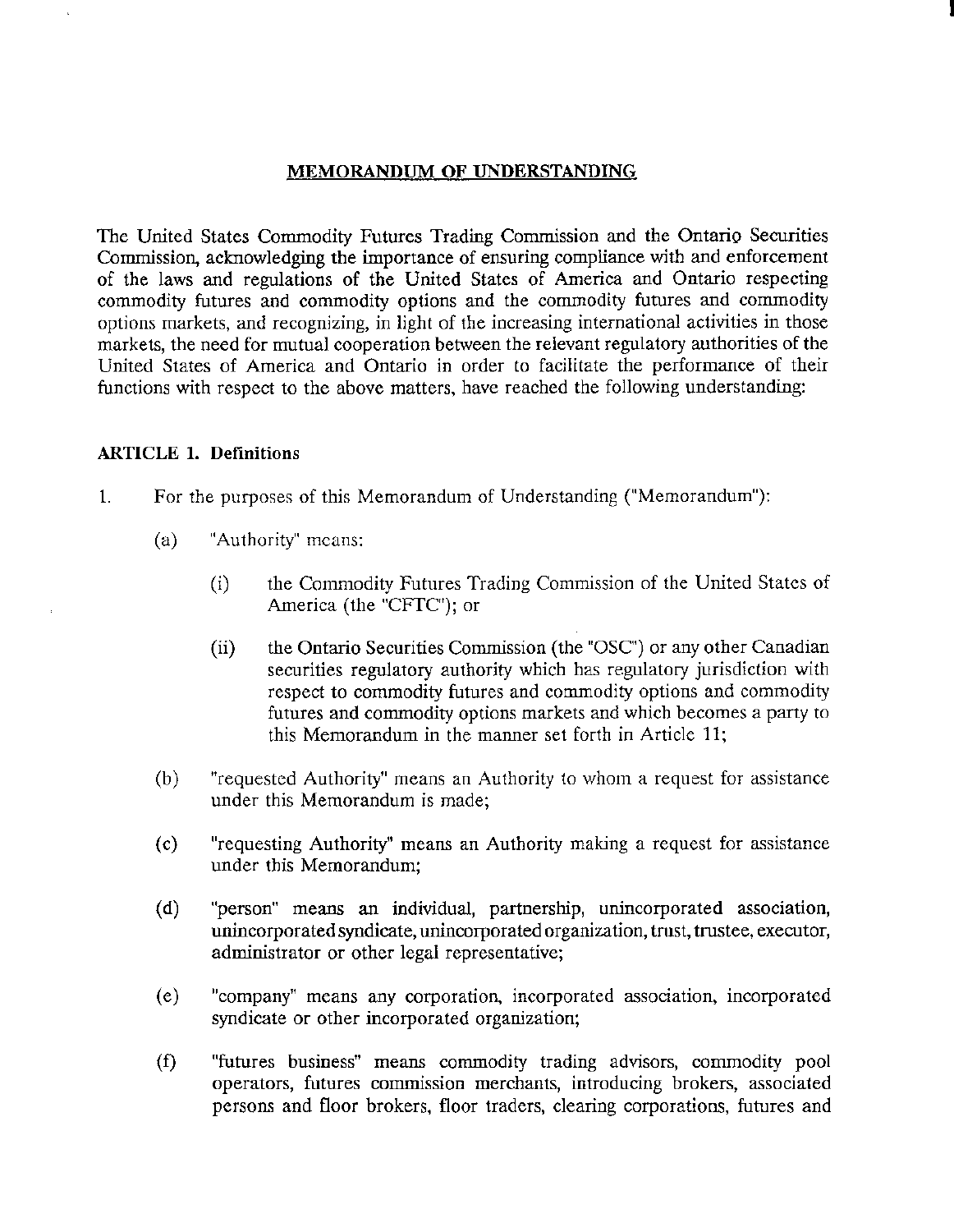#### MEMORANDUM OF UNDERSTANDING

I

The United States Commodity Futures Trading Commission and the Ontario Securities Commission, acknowledging the importance of ensuring compliance with and enforcement of the laws and regulations of the United States of America and Ontario respecting commodity futures and commodity options and the commodity futures and commodity options markets, and recognizing, in light of the increasing international activities in those markets, the need for mutual cooperation between the relevant regulatory authorities of the United States of America and Ontario in order to facilitate the performance of their functions with respect to the above matters, have reached the following understanding:

#### ARTICLE 1. Definitions

- 1. For the purposes of this Memorandum of Understanding ("Memorandum"):
	- (a) "Authority" means:
		- (i) the Commodity Futures Trading Commission of the United States of America (the "CFTC"); or
		- (ii) the Ontario Securities Commission (the "OSC') or any other Canadian securities regulatory authority which has regulatory jurisdiction with respect to commodity futures and commodity options and commodity futures and commodity options markets and which becomes a party to this Memorandum in the manner set forth in Article 11;
	- (b) "requested Authority" means an Authority to whom a request for assistance under this Memorandum is made;
	- (c) "requesting Authority" means an Authority making a request for assistance under this Memorandum;
	- (d) "person" means an individual, partnership, unincorporated association, unincorporated syndicate, unincorporated organization, tmst, trustee, executor, administrator or other legal representative;
	- (e) "company" means any corporation, incorporated association, incorporated syndicate or other incorporated organization;
	- (f) "futures business" means commodity trading advisors, commodity pool operators, futures commission merchants, introducing brokers, associated persom and floor brokers, floor traders, clearing corporations, futures and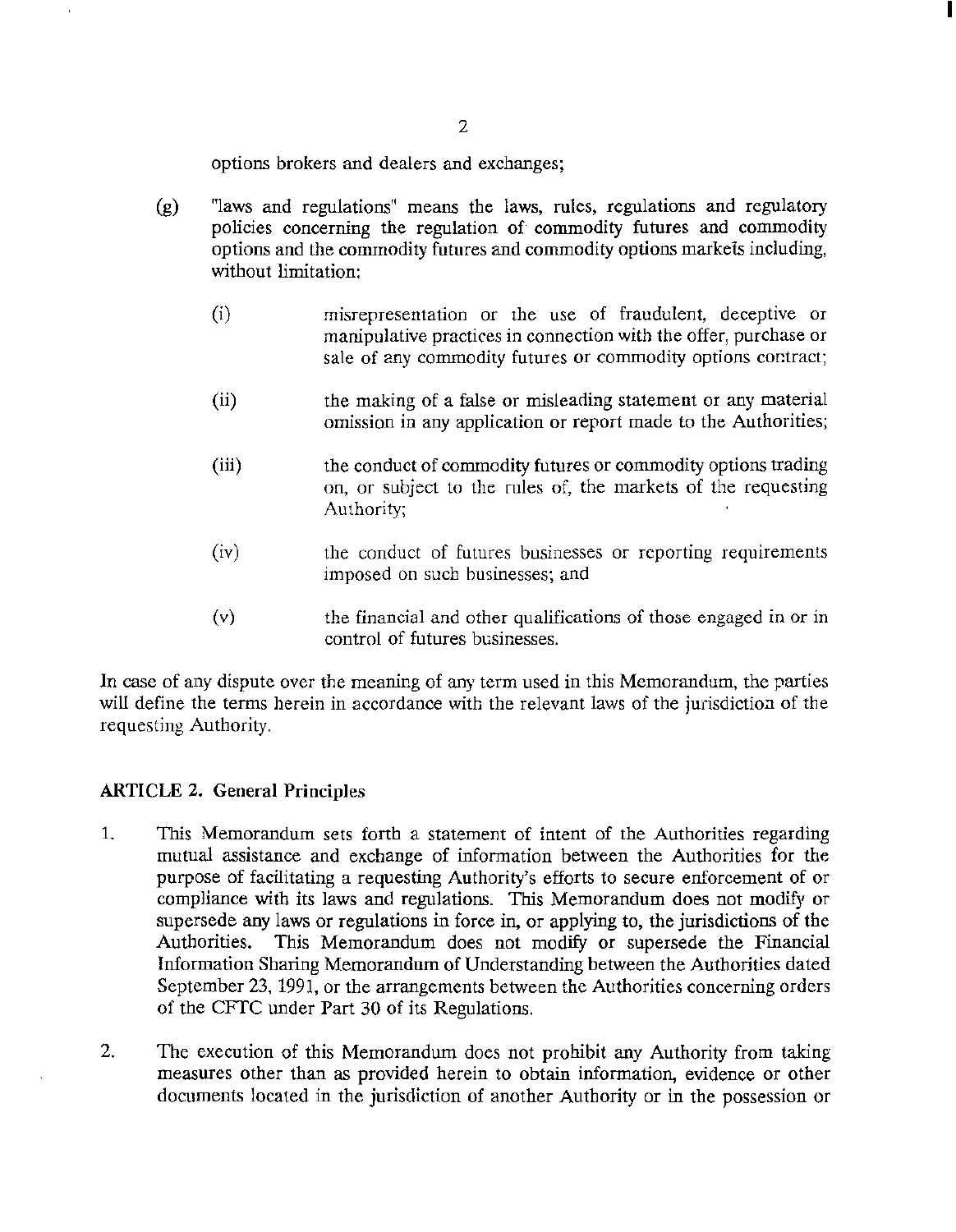options brokers and dealers and exchanges;

- (g) "laws and regulations" means the laws, rules, regulations and regulatory policies concerning the regulation of commodity futures and commodity options and the commodity futures and commodity options markets including, without limitation:
	- (i) misrepresentation or the use of fraudulent, deceptive or manipulative practices in connection with the offer, purchase or sale of any commodity futures or commodity options contract;

I

- (ii) the making of a false or misleading statement or any material omission in any application or report made to the Authorities;
- (iii) the conduct of commodity futures or commodity options trading on, or subject to the rules of, the markets of the requesting Authority;
- $(iv)$ the conduct of futures businesses or reporting requirements imposed on such businesses; and
- (v) the financial and other qualifications of those engaged in or in control of futures businesses.

In case of any dispute over the meaning of any term used in this Memorandum, the parties will define the terms herein in accordance with the relevant laws of the jurisdiction of the requesting Authority.

### ARTICLE 2. General Principles

- 1. This Memorandum sets forth a statement of intent of the Authorities regarding mutual assistance and exchange of information between the Authorities for the purpose of facilitating a requesting Authority's efforts to secure enforcement of or compliance with its laws and regulations. This Memorandum does not modify or supersede any laws or regulations in force in, or applying to, the jurisdictions of the Authorities. This Memorandum does not modify or supersede the Financial Information Sharing Memorandum of Understanding between the Authorities dated September 23, 1991, or the arrangements between the Authorities concerning orders of the CFrC under Part 30 of its Regulations.
- 2. The execution of this Memorandum does not prohibit any Authority from taking measures other than as provided herein to obtain information, evidence or other documents located in the jurisdiction of another Authority or in the possession or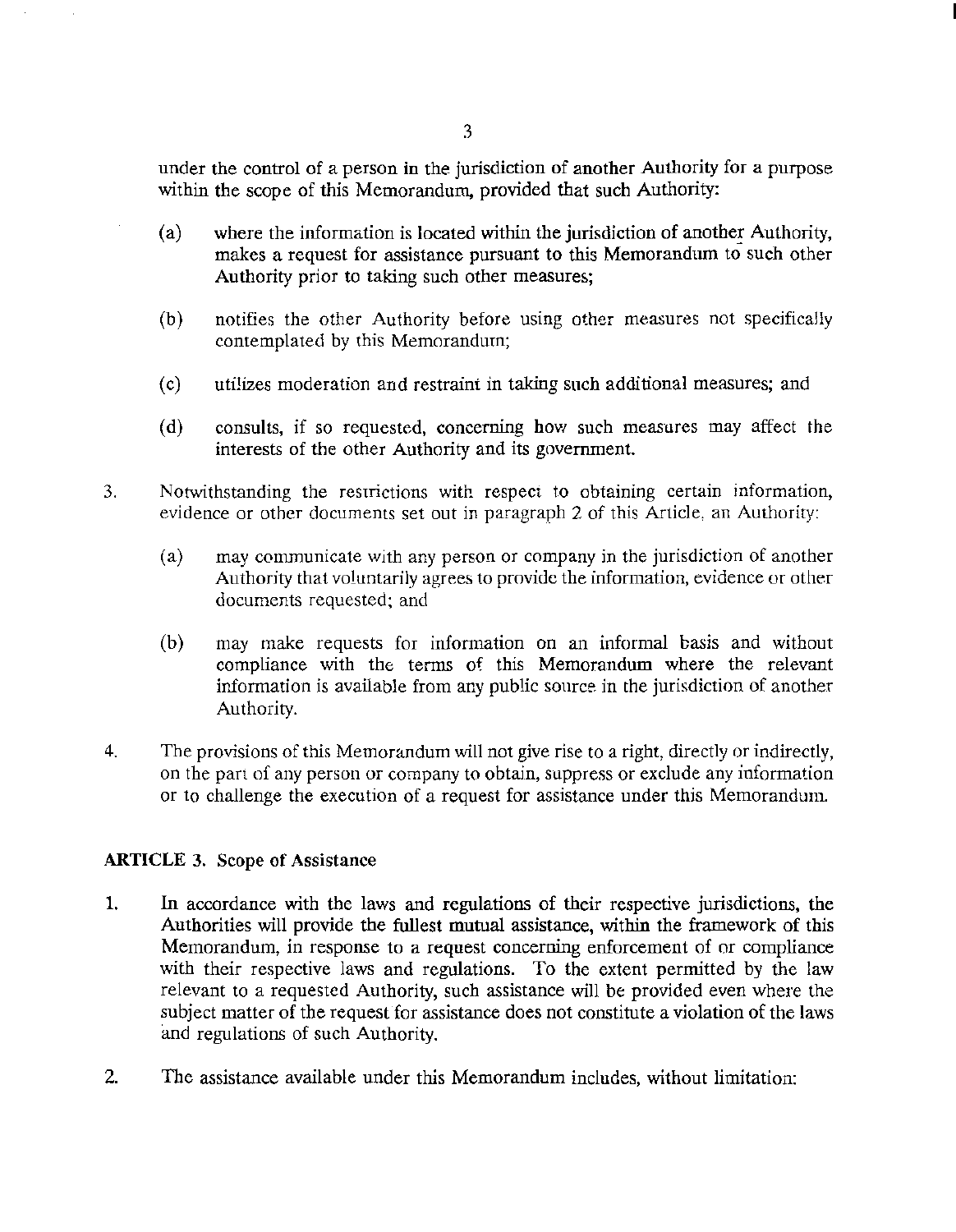under the control of a person in the jurisdiction of another Authority for a purpose within the scope of this Memorandum, provided that such Authority:

- (a) where the information is located within the jurisdiction of another Authority, makes a request for assistance pursuant to this Memorandum to such other Authority prior to taking such other measures;
- (b) notifies the other Authority before using other measures not specifically contemplated by this Memorandum;
- (c) utilizes moderation and restraint in taking such additional measures; and
- (d) consults, if so requested, concerning how such measures may affect the interests of the other Authority and its government.
- 3. Notwithstanding the restrictions with respect to obtaining certain information, evidence or other documents set out in paragraph 2 of this Article, an Authority:
	- (a) may communicate with any person or company in the jurisdiction of another Authority that voluntarily agrees to provide the information, evidence or other documents requested; and
	- (b) may make requests for information on an informal basis and without compliance with the terms of this Memorandum where the relevant information is available from any public source in the jurisdiction of another Authority.
- 4. The provisions of this Memorandum will not give rise to a right, directly or indirectly, on the part of any person or company to obtain, suppress or exclude any information or to challenge the execution of a request for assistance under this Memorandum.

# ARTICLE 3. Scope of Assistance

- 1. In accordance with the laws and regulations of their respective jurisdictions, the Authorities will provide the fullest mutual assistance, within the framework of this Memorandum, in response to a request concerning enforcement of or compliance with their respective laws and regulations. To the extent permitted by the law relevant to a requested Authority, such assistance will be provided even where the subject matter of the request for assistance does not constitute a violation of the laws and regulations of such Authority.
- 2. The assistance available under this Memorandum includes, without limitation: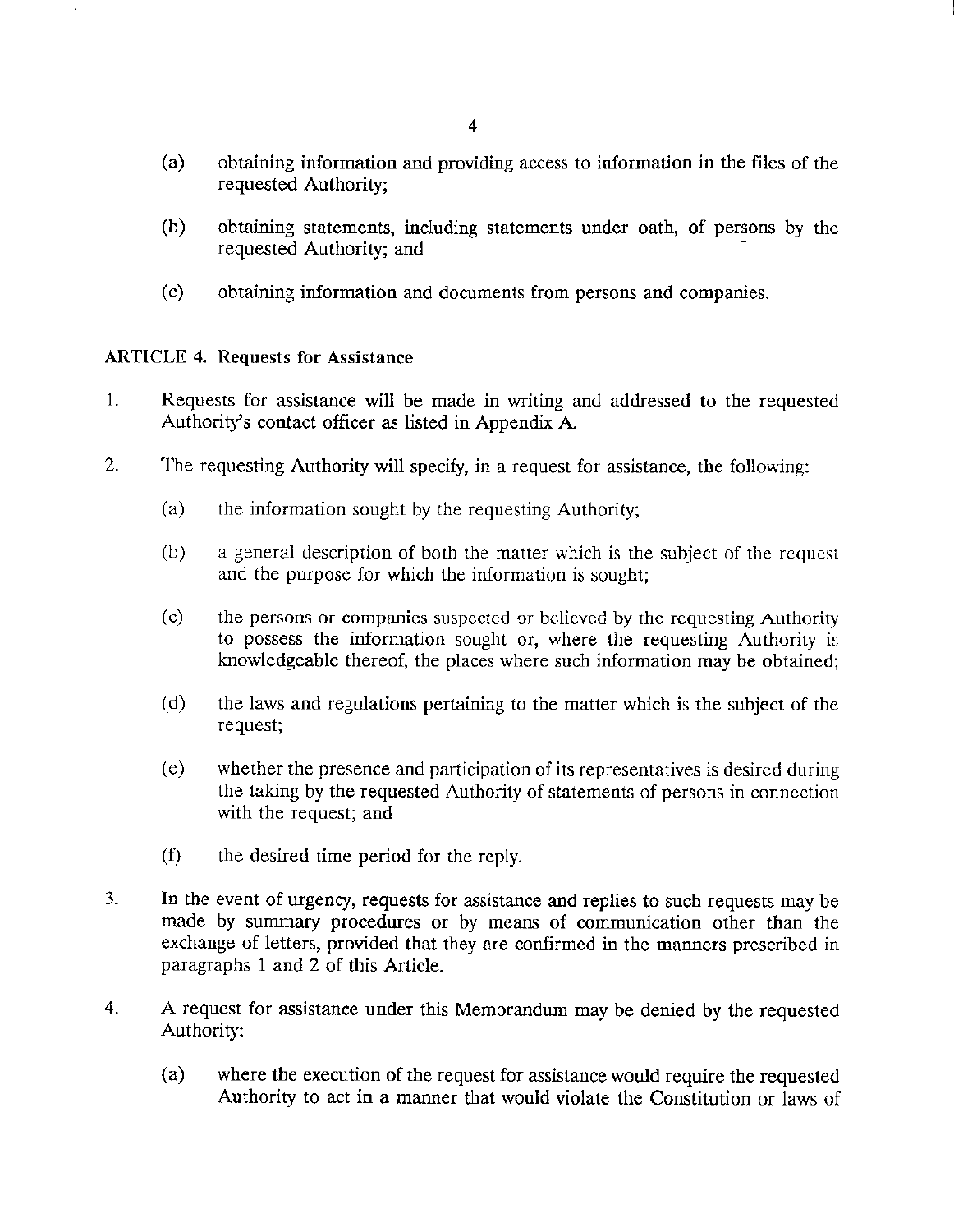- (a) obtaining information and providing access to information in the files of the requested Authority;
- (b) obtaining statements, including statements under oath, of persons by the requested Authority; and
- (c) obtaining information and documents from persons and companies.

# ARTICLE 4. Requests for Assistance

- 1. Requests for assistance will be made in writing and addressed to the requested Authority's contact officer as listed in Appendix A
- 2. The requesting Authority will specify, in a request for assistance, the following:
	- (a) the information sought by the requesting Authority;
	- (b) a general description of both the matter which is the subject of the request and the purpose for which the information is sought;
	- (c) the persons or companies suspected or believed by the requesting Authority to possess the information sought or, where the requesting Authority is knowledgeable thereof, the places where such information may be obtained;
	- (d) the laws and regulations pertaining to the matter which is the subject of the request;
	- (e) whether the presence and participation of its representatives is desired during the taking by the requested Authority of statements of persons in connection with the request; and
	- (f) the desired time period for the reply.
- 3. In the event of urgency, requests for assistance and replies to such requests may be made by summary procedures or by means of communication other than the exchange of letters, provided that they are confirmed in the manners prescribed in paragraphs 1 and 2 of this Article.
- 4. A request for assistance under this Memorandum may be denied by the requested Authority:
	- (a) where the execution of the request for assistance would require the requested Authority to act in a manner that would violate the Constitution or laws of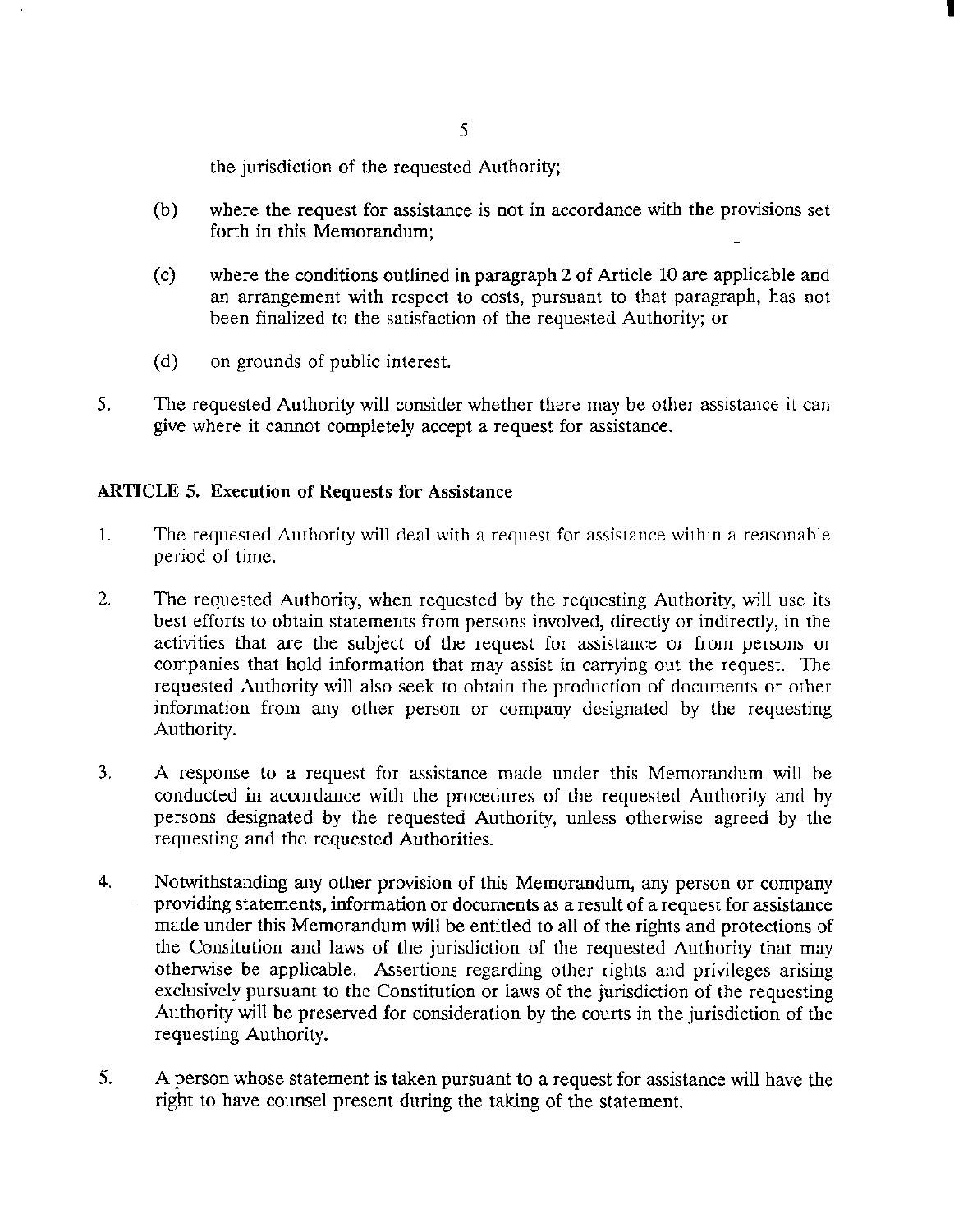the jurisdiction of the requested Authority;

(b) where the request for assistance is not in accordance with the provisions set forth in this Memorandum;

I

- (c) where the conditions outlined in paragraph 2 of Article 10 are applicable and an arrangement with respect to costs, pursuant to that paragraph, has not been finalized to the satisfaction of the requested Authority; or
- (d) on grounds of public interest.
- 5. The requested Authority will consider whether there may be other assistance it can give where it cannot completely accept a request for assistance.

## ARTICLE 5. Execution of Requests for Assistance

- 1. The requested Authority will deal with a request for assistance within a reasonable period of time.
- 2. The requested Authority, when requested by the requesting Authority, will use its best efforts to obtain statements from persons involved, directly or indirectly, in the activities that are the subject of the request for assistance or from persons or companies that hold information that may assist in carrying out the request. The requested Authority will also seek to obtain the production of documents or other information from any other person or company designated by the requesting Authority.
- 3. A response to a request for assistance made under this Memorandum will be conducted in accordance with the procedures of the requested Authority and by persons designated by the requested Authority, unless otherwise agreed by the requesting and the requested Authorities.
- 4. Notwithstanding any other provision of this Memorandum, any person or company providing statements, information or documents as a result of a request for assistance made under this Memorandum will be entitled to all of the rights and protections of the Consitution and laws of the jurisdiction of the requested Authority that may otherwise be applicable. Assertions regarding other rights and privileges arising exclusively pursuant to the Constitution or laws of the jurisdiction of the requesting Authority will be preserved for consideration by the courts in the jurisdiction of the requesting Authority.
- 5. A person whose statement is taken pursuant to a request for assistance will have the right to have counsel present during the taking of the statement.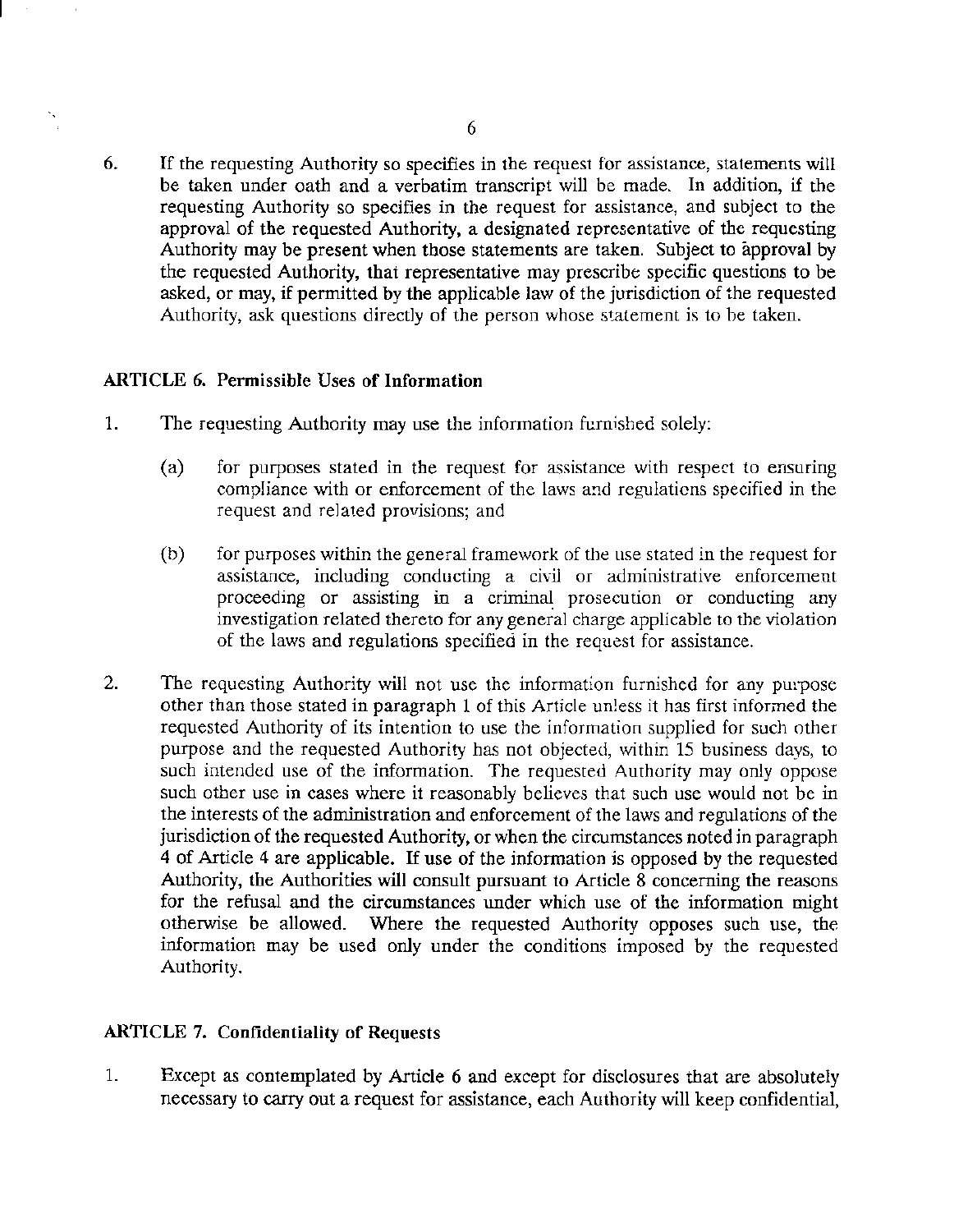6. If the requesting Authority so specifies in the request for assistance, statements will be taken under oath and a verbatim transcript will be made. In addition, if the requesting Authority so specifies in the request for assistance, and subject to the approval of the requested Authority, a designated representative of the requesting Authority may be present when those statements are taken. Subject to approval by the requested Authority, that representative may prescribe specific questions to be asked, or may, if permitted by the applicable law of the jurisdiction of the requested Authority, ask questions directly of the person whose statement is to be taken.

## ARTICLE 6. Permissible Uses of Information

- 1. The requesting Authority may use the information furnished solely:
	- (a) for purposes stated in the request for assistance with respect to ensuring compliance with or enforcement of the laws and regulations specified in the request and related provisions; and
	- (b) for purposes within the general framework of the use stated in the request for assistance, including conducting a civil or administrative enforcement proceeding or assisting in a criminal prosecution or conducting any investigation related thereto for any general charge applicable to *the* violation of the laws and regulations specified in the request for assistance.
- 2. The requesting Authority will not use the information furnished for any purpose other than those stated in paragraph 1 of this Article unless it has first informed the requested Authority of its intention to use the information supplied for such other purpose and the requested Authority has not objected, within 15 business days, to such intended use of the information. The requested Authority may only oppose such other use in cases where it reasonably believes that such use would not be in the interests of the administration and enforcement of the laws and regulations of the jurisdiction of the requested Authority, or when the circumstances noted in paragraph 4 of Article 4 are applicable. If use of the information is opposed by the requested Authority, the Authorities will consult pursuant to Article 8 concerning the reasons for the refusal and the circumstances under which use of the information might otherwise be allowed. Where the requested Authority opposes such use, the information may be used only under the conditions imposed by the requested Authority.

### ARTICLE 7. Confidentiality of Requests

1. Except as contemplated by Article 6 and except for disclosures that are absolutely necessary to carry out a request for assistance, each Authority will keep confidential,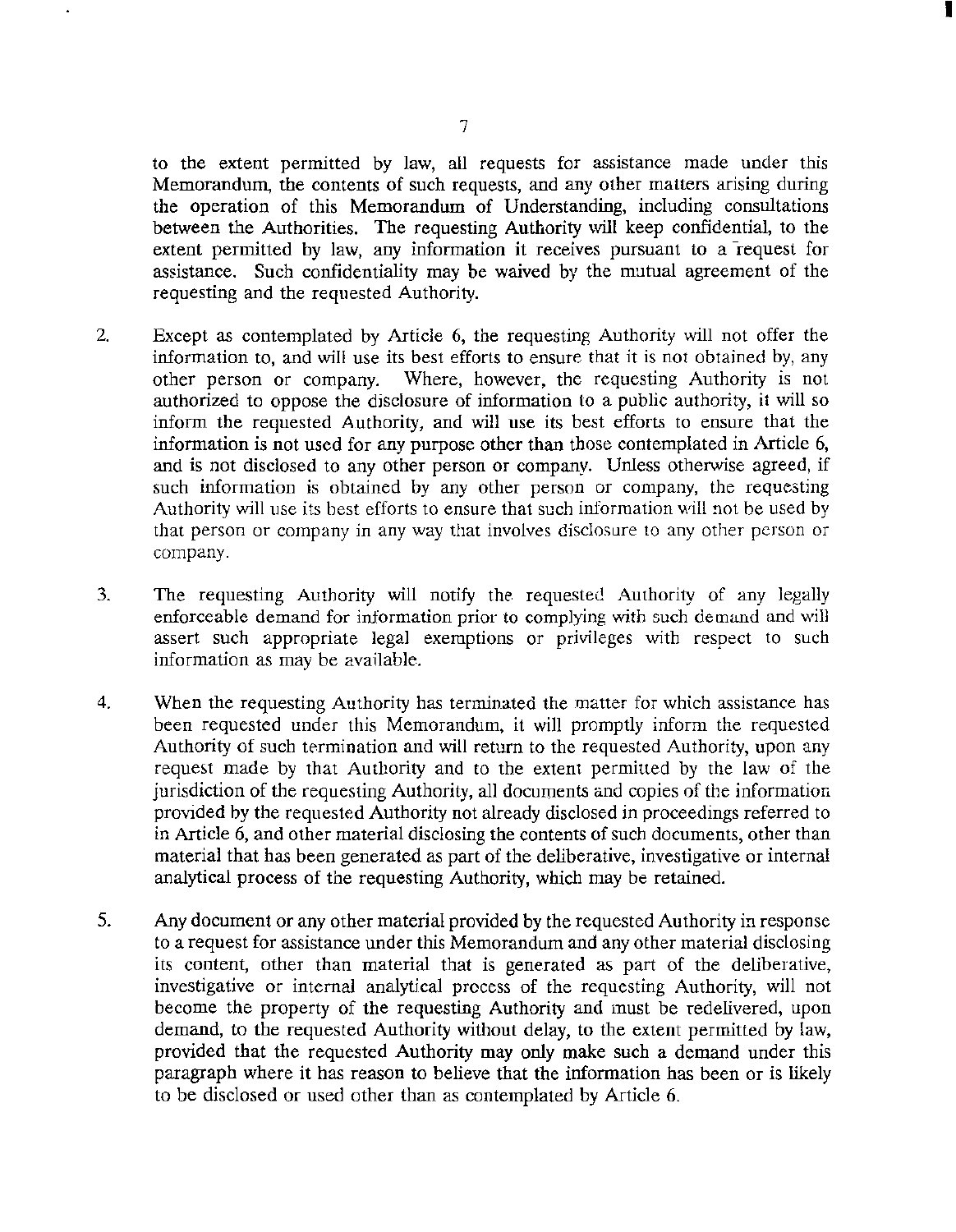to the extent permitted by law, all requests for assistance made under this Memorandwn, the contents of such requests, and any other matters arising during the operation of this Memorandum of Understanding, including consultations between the Authorities. The requesting Authority will keep confidential, to the extent permitted by law, any information it receives pursuant to a  $r$  request for assistance. Such confidentiality may be waived by the mutual agreement of the requesting and the requested Authority.

I

- 2. Except as contemplated by Article 6, the requesting Authority will not offer the information to, and will use its best efforts to ensure that it is not obtained by, any other person or company. Where, however, the requesting Authority is not authorized to oppose the disclosure of information to a public authority, it will so inform the requested Authority, and will use its best efforts to ensure that the information is not used for any purpose other than those contemplated in Article 6, and is not disclosed to any other person or company. Unless otherwise agreed, if such information is obtained by any other person or company, the requesting Authority will use its best efforts to ensure that such information will not be used by that person or company in any way that involves disclosure to any other person or company.
- 3. The requesting Authority will notify the requested Authority of any legally enforceable demand for information prior to complying with such demand and will assert such appropriate legal exemptions or privileges with respect to such information as may be available..
- 4. When the requesting Authority has terminated the matter for which assistance has been requested under this Memorandum, it will promptly inform the requested Authority of such termination and will return to the requested Authority, upon any request made by that Authority and to the extent permitted by the law of the jurisdiction of the requesting Authority, all documents and copies of the information provided by the requested Authority not already disclosed in proceedings referred to in Article 6, and other material disclosing the contents of such documents, other than material that has been generated as part of the deliberative, investigative or internal analytical process of the requesting Authority, which may be retained.
- 5. Any document or any other material provided by the requested Authority in response to a request for assistance under this Memorandum and any other material disclosing its content, other than material that is generated as part of the deliberative, investigative or internal analytical process of the requesting Authority, will not become the property of the requesting Authority and must be redelivered, upon demand, to the requested Authority without delay, to the extent permitted by law, provided that the requested Authority may only make such a demand under this paragraph where it has reason to believe that the information has been or is likely to be disclosed or used other than as contemplated by Article 6.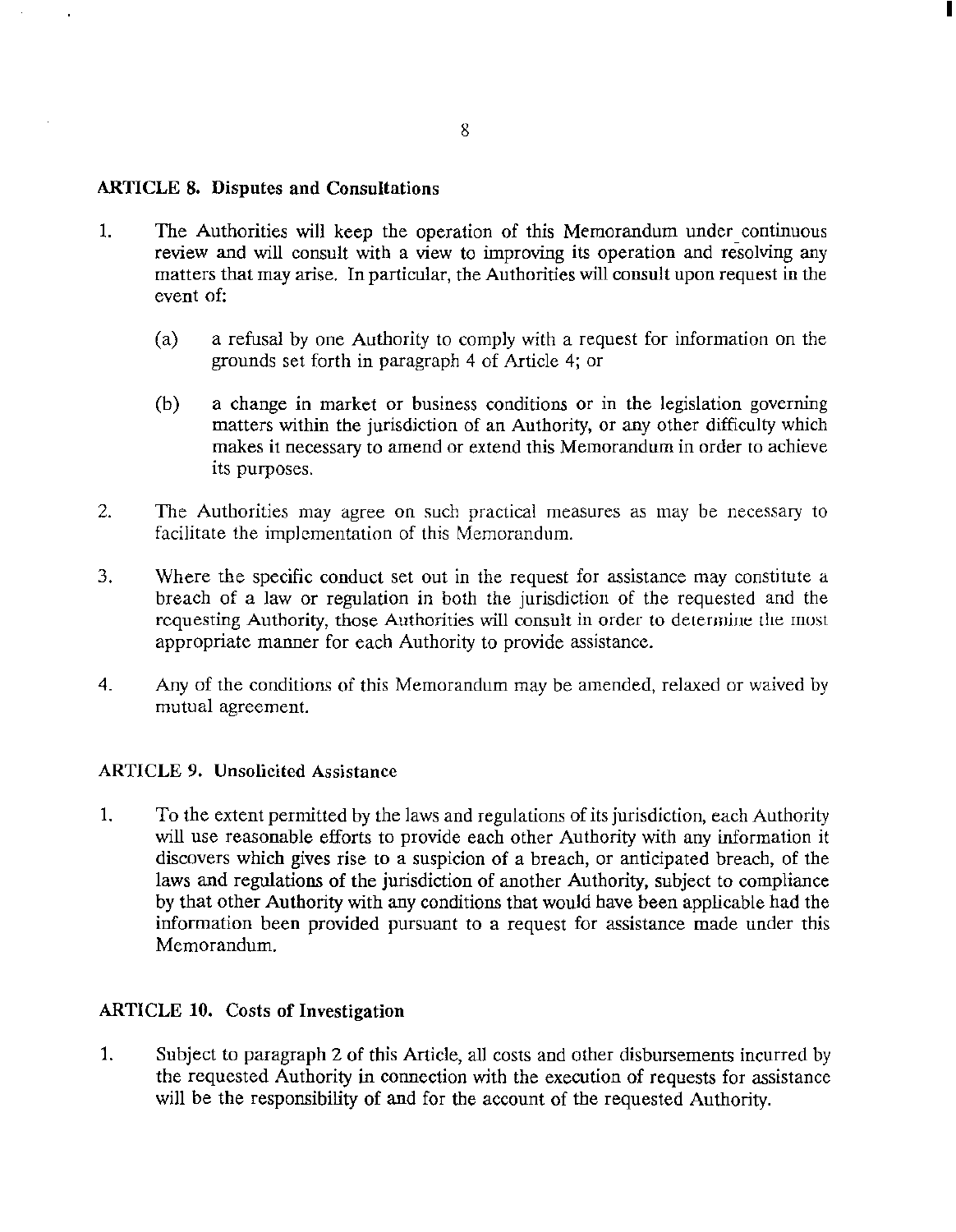### ARTICLE 8. Disputes and Consultations

- 1. The Authorities will keep the operation of this Memorandum under continuous review and will consult with a view to improving its operation and resolving any matters that may arise. In particular, the Authorities will consult upon request in the event of:
	- (a) a refusal by one Authority to comply with a request for information on the grounds set forth in paragraph 4 of Article 4; or
	- (b) a change in market or business conditions or in the legislation governing matters within the jurisdiction of an Authority, or any other difficulty which makes it necessary to amend or extend this Memorandum in order to achieve its purposes.
- 2. The Authorities may agree on such practical measures as may be necessary to facilitate the implementation of this Memorandum.
- 3. Where the specific conduct set out in the request for assistance may constitute a breach of a law or regulation in both the jurisdiction of the requested and the requesting Authority, those Authorities will consult in order to determjue the most appropriate manner for each Authority to provide assistance.
- 4. Any of the conditions of this Memorandum may be amended, relaxed or waived by mutual agreement.

### ARTICLE 9. Unsolicited Assistance

1. To the extent permitted by the laws and regulations of its jurisdiction, each Authority will use reasonable efforts to provide each other Authority with any information it discovers which gives rise to a suspicion of a breach, or anticipated breach, of the laws and regulations of the jurisdiction of another Authority, subject to compliance by that other Authority with any conditions that would have been applicable had the information been provided pursuant to a request for assistance made under this Memorandum.

# ARTICLE 10. Costs of Investigation

1. Subject to paragraph 2 of this Article, all costs and other disbursements incurred by the requested Authority in connection with the execution of requests for assistance will be the responsibility of and for the account of the requested Authority.

I